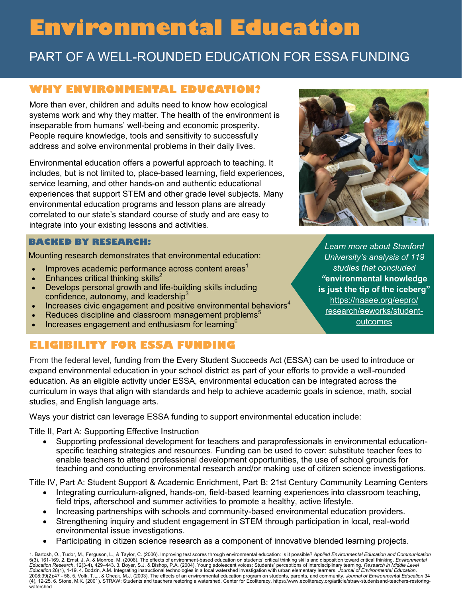# **Environmental Education**

# PART OF A WELL-ROUNDED EDUCATION FOR ESSA FUNDING

## **WHY ENVIRONMENTAL EDUCATION?**

More than ever, children and adults need to know how ecological systems work and why they matter. The health of the environment is inseparable from humans' well-being and economic prosperity. People require knowledge, tools and sensitivity to successfully address and solve environmental problems in their daily lives.

Environmental education offers a powerful approach to teaching. It includes, but is not limited to, place-based learning, field experiences, service learning, and other hands-on and authentic educational experiences that support STEM and other grade level subjects. Many environmental education programs and lesson plans are already correlated to our state's standard course of study and are easy to integrate into your existing lessons and activities.

#### **BACKED BY RESEARCH:**

Mounting research demonstrates that environmental education:

- Improves academic performance across content areas<sup>1</sup>
- Enhances critical thinking skills<sup>2</sup>
- Develops personal growth and life-building skills including confidence, autonomy, and leadership $3$
- Increases civic engagement and positive environmental behaviors<sup>4</sup>
- Reduces discipline and classroom management problems<sup>5</sup>
- Increases engagement and enthusiasm for learning<sup>6</sup>

## **ELIGIBILITY FOR ESSA FUNDING**

From the federal level, funding from the Every Student Succeeds Act (ESSA) can be used to introduce or expand environmental education in your school district as part of your efforts to provide a well-rounded education. As an eligible activity under ESSA, environmental education can be integrated across the curriculum in ways that align with standards and help to achieve academic goals in science, math, social studies, and English language arts.

Ways your district can leverage ESSA funding to support environmental education include:

Title II, Part A: Supporting Effective Instruction

• Supporting professional development for teachers and paraprofessionals in environmental educationspecific teaching strategies and resources. Funding can be used to cover: substitute teacher fees to enable teachers to attend professional development opportunities, the use of school grounds for teaching and conducting environmental research and/or making use of citizen science investigations.

Title IV, Part A: Student Support & Academic Enrichment, Part B: 21st Century Community Learning Centers

- Integrating curriculum-aligned, hands-on, field-based learning experiences into classroom teaching, field trips, afterschool and summer activities to promote a healthy, active lifestyle.
- Increasing partnerships with schools and community-based environmental education providers.
- Strengthening inquiry and student engagement in STEM through participation in local, real-world environmental issue investigations.
- Participating in citizen science research as a component of innovative blended learning projects.

1. Bartosh, O., Tudor, M., Ferguson, L., & Taylor, C. (2006). Improving test scores through environmental education: Is it possible? *Applied Environmental Education and Communication*<br>5(3), 161-169. 2. Ernst, J. A. & Monr *Education* 28(1), 1-19. 4. [Bodzin, A.M.](https://naaee.org/eepro/research/library/search?cid%5B%5D=3671) Integrating instructional technologies in a local watershed investigation with urban elementary learners. *Journal of Environmental Education*. 2008;39(2):47 - 58. 5. Volk, T.L., & Cheak, M.J. (2003). The effects of an environmental education program on students, parents, and community. *Journal of Environmental Education* 34<br>(4), 12-25. 6. Stone, M.K. (2001). STR watershed



*Learn more about Stanford University's analysis of 119 studies that concluded "***environmental knowledge is just the tip of the iceberg"**  [https://naaee.org/eepro/](https://naaee.org/eepro/research/eeworks/student-outcomes) [research/eeworks/student](https://naaee.org/eepro/research/eeworks/student-outcomes)[outcomes](https://naaee.org/eepro/research/eeworks/student-outcomes)